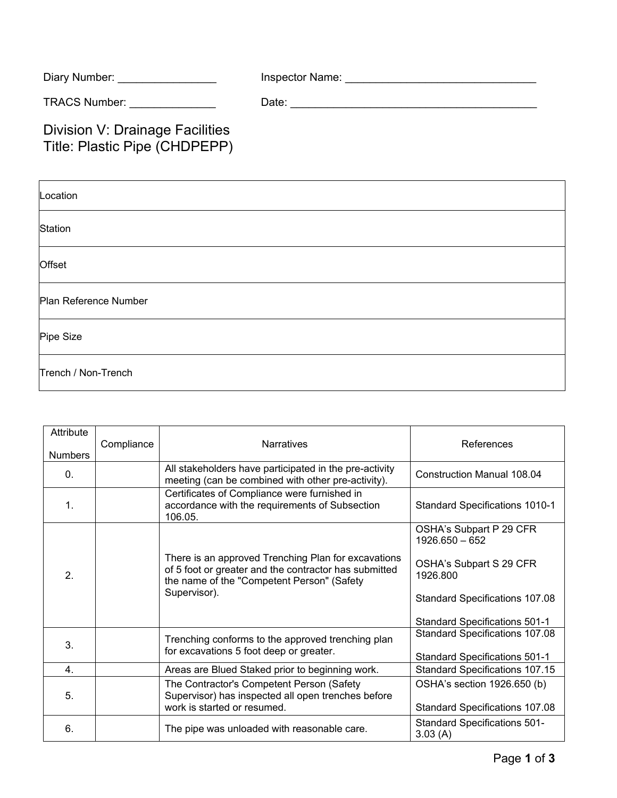| Diary Number:        | Inspector Name: |
|----------------------|-----------------|
| <b>TRACS Number:</b> | Date:           |

## Division V: Drainage Facilities Title: Plastic Pipe (CHDPEPP)

| Location              |  |  |  |
|-----------------------|--|--|--|
| Station               |  |  |  |
| Offset                |  |  |  |
| Plan Reference Number |  |  |  |
| Pipe Size             |  |  |  |
| Trench / Non-Trench   |  |  |  |

| Attribute<br><b>Numbers</b> | Compliance | <b>Narratives</b>                                                                                                                                                          | References                                     |
|-----------------------------|------------|----------------------------------------------------------------------------------------------------------------------------------------------------------------------------|------------------------------------------------|
| $\Omega$ .                  |            | All stakeholders have participated in the pre-activity<br>meeting (can be combined with other pre-activity).                                                               | <b>Construction Manual 108.04</b>              |
| $\mathbf{1}$ .              |            | Certificates of Compliance were furnished in<br>accordance with the requirements of Subsection<br>106.05.                                                                  | <b>Standard Specifications 1010-1</b>          |
| 2.                          |            | There is an approved Trenching Plan for excavations<br>of 5 foot or greater and the contractor has submitted<br>the name of the "Competent Person" (Safety<br>Supervisor). | OSHA's Subpart P 29 CFR<br>1926.650 - 652      |
|                             |            |                                                                                                                                                                            | OSHA's Subpart S 29 CFR<br>1926.800            |
|                             |            |                                                                                                                                                                            | Standard Specifications 107.08                 |
|                             |            |                                                                                                                                                                            | <b>Standard Specifications 501-1</b>           |
| 3.                          |            | Trenching conforms to the approved trenching plan<br>for excavations 5 foot deep or greater.                                                                               | <b>Standard Specifications 107.08</b>          |
|                             |            |                                                                                                                                                                            | <b>Standard Specifications 501-1</b>           |
| 4.                          |            | Areas are Blued Staked prior to beginning work.                                                                                                                            | <b>Standard Specifications 107.15</b>          |
| 5.                          |            | The Contractor's Competent Person (Safety<br>Supervisor) has inspected all open trenches before<br>work is started or resumed.                                             | OSHA's section 1926.650 (b)                    |
|                             |            |                                                                                                                                                                            | Standard Specifications 107.08                 |
| 6.                          |            | The pipe was unloaded with reasonable care.                                                                                                                                | <b>Standard Specifications 501-</b><br>3.03(A) |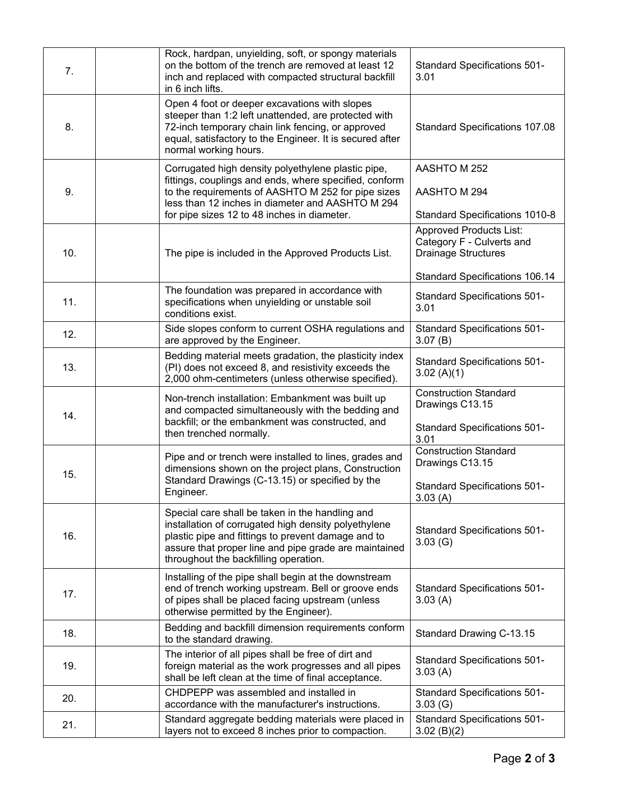| 7.  | Rock, hardpan, unyielding, soft, or spongy materials<br>on the bottom of the trench are removed at least 12<br>inch and replaced with compacted structural backfill<br>in 6 inch lifts.                                                                               | <b>Standard Specifications 501-</b><br>3.01                                                       |
|-----|-----------------------------------------------------------------------------------------------------------------------------------------------------------------------------------------------------------------------------------------------------------------------|---------------------------------------------------------------------------------------------------|
| 8.  | Open 4 foot or deeper excavations with slopes<br>steeper than 1:2 left unattended, are protected with<br>72-inch temporary chain link fencing, or approved<br>equal, satisfactory to the Engineer. It is secured after<br>normal working hours.                       | <b>Standard Specifications 107.08</b>                                                             |
| 9.  | Corrugated high density polyethylene plastic pipe,<br>fittings, couplings and ends, where specified, conform<br>to the requirements of AASHTO M 252 for pipe sizes<br>less than 12 inches in diameter and AASHTO M 294<br>for pipe sizes 12 to 48 inches in diameter. | AASHTO M 252<br>AASHTO M 294<br>Standard Specifications 1010-8                                    |
| 10. | The pipe is included in the Approved Products List.                                                                                                                                                                                                                   | <b>Approved Products List:</b><br>Category F - Culverts and<br><b>Drainage Structures</b>         |
| 11. | The foundation was prepared in accordance with<br>specifications when unyielding or unstable soil<br>conditions exist.                                                                                                                                                | <b>Standard Specifications 106.14</b><br><b>Standard Specifications 501-</b><br>3.01              |
| 12. | Side slopes conform to current OSHA regulations and<br>are approved by the Engineer.                                                                                                                                                                                  | <b>Standard Specifications 501-</b><br>3.07(B)                                                    |
| 13. | Bedding material meets gradation, the plasticity index<br>(PI) does not exceed 8, and resistivity exceeds the<br>2,000 ohm-centimeters (unless otherwise specified).                                                                                                  | <b>Standard Specifications 501-</b><br>3.02(A)(1)                                                 |
| 14. | Non-trench installation: Embankment was built up<br>and compacted simultaneously with the bedding and<br>backfill; or the embankment was constructed, and<br>then trenched normally.                                                                                  | <b>Construction Standard</b><br>Drawings C13.15<br><b>Standard Specifications 501-</b><br>3.01    |
| 15. | Pipe and or trench were installed to lines, grades and<br>dimensions shown on the project plans, Construction<br>Standard Drawings (C-13.15) or specified by the<br>Engineer.                                                                                         | <b>Construction Standard</b><br>Drawings C13.15<br><b>Standard Specifications 501-</b><br>3.03(A) |
| 16. | Special care shall be taken in the handling and<br>installation of corrugated high density polyethylene<br>plastic pipe and fittings to prevent damage and to<br>assure that proper line and pipe grade are maintained<br>throughout the backfilling operation.       | <b>Standard Specifications 501-</b><br>3.03(G)                                                    |
| 17. | Installing of the pipe shall begin at the downstream<br>end of trench working upstream. Bell or groove ends<br>of pipes shall be placed facing upstream (unless<br>otherwise permitted by the Engineer).                                                              | <b>Standard Specifications 501-</b><br>3.03(A)                                                    |
| 18. | Bedding and backfill dimension requirements conform<br>to the standard drawing.                                                                                                                                                                                       | Standard Drawing C-13.15                                                                          |
| 19. | The interior of all pipes shall be free of dirt and<br>foreign material as the work progresses and all pipes<br>shall be left clean at the time of final acceptance.                                                                                                  | <b>Standard Specifications 501-</b><br>3.03(A)                                                    |
| 20. | CHDPEPP was assembled and installed in<br>accordance with the manufacturer's instructions.                                                                                                                                                                            | <b>Standard Specifications 501-</b><br>3.03(G)                                                    |
| 21. | Standard aggregate bedding materials were placed in<br>layers not to exceed 8 inches prior to compaction.                                                                                                                                                             | <b>Standard Specifications 501-</b><br>3.02(B)(2)                                                 |